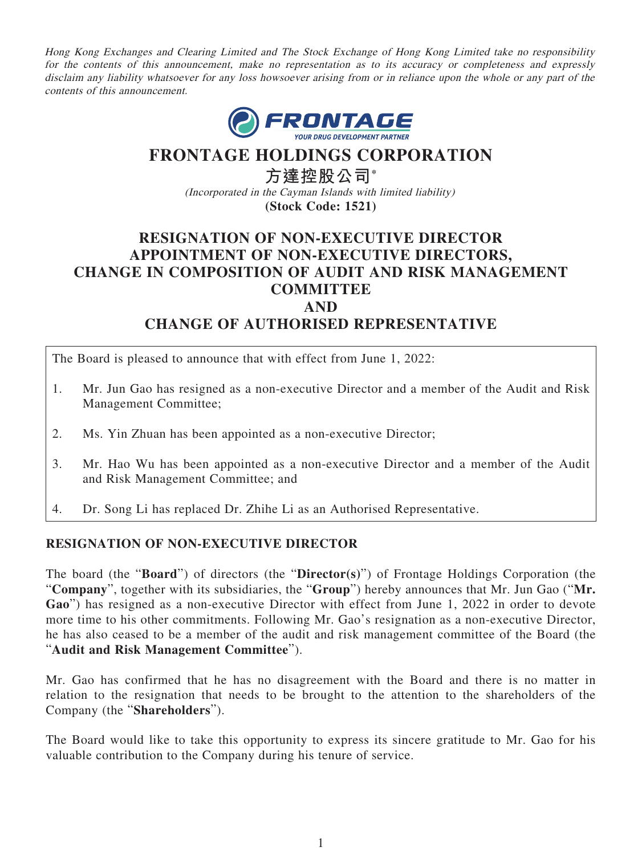Hong Kong Exchanges and Clearing Limited and The Stock Exchange of Hong Kong Limited take no responsibility for the contents of this announcement, make no representation as to its accuracy or completeness and expressly disclaim any liability whatsoever for any loss howsoever arising from or in reliance upon the whole or any part of the contents of this announcement.



# **FRONTAGE HOLDINGS CORPORATION**

**方達控股公司\*** (Incorporated in the Cayman Islands with limited liability) **(Stock Code: 1521)**

## **RESIGNATION OF NON-EXECUTIVE DIRECTOR APPOINTMENT OF NON-EXECUTIVE DIRECTORS, CHANGE IN COMPOSITION OF AUDIT AND RISK MANAGEMENT COMMITTEE AND CHANGE OF AUTHORISED REPRESENTATIVE**

The Board is pleased to announce that with effect from June 1, 2022:

- 1. Mr. Jun Gao has resigned as a non-executive Director and a member of the Audit and Risk Management Committee;
- 2. Ms. Yin Zhuan has been appointed as a non-executive Director;
- 3. Mr. Hao Wu has been appointed as a non-executive Director and a member of the Audit and Risk Management Committee; and
- 4. Dr. Song Li has replaced Dr. Zhihe Li as an Authorised Representative.

### **RESIGNATION OF NON-EXECUTIVE DIRECTOR**

The board (the "**Board**") of directors (the "**Director(s)**") of Frontage Holdings Corporation (the "**Company**", together with its subsidiaries, the "**Group**") hereby announces that Mr. Jun Gao ("**Mr. Gao**") has resigned as a non-executive Director with effect from June 1, 2022 in order to devote more time to his other commitments. Following Mr. Gao's resignation as a non-executive Director, he has also ceased to be a member of the audit and risk management committee of the Board (the "**Audit and Risk Management Committee**").

Mr. Gao has confirmed that he has no disagreement with the Board and there is no matter in relation to the resignation that needs to be brought to the attention to the shareholders of the Company (the "**Shareholders**").

The Board would like to take this opportunity to express its sincere gratitude to Mr. Gao for his valuable contribution to the Company during his tenure of service.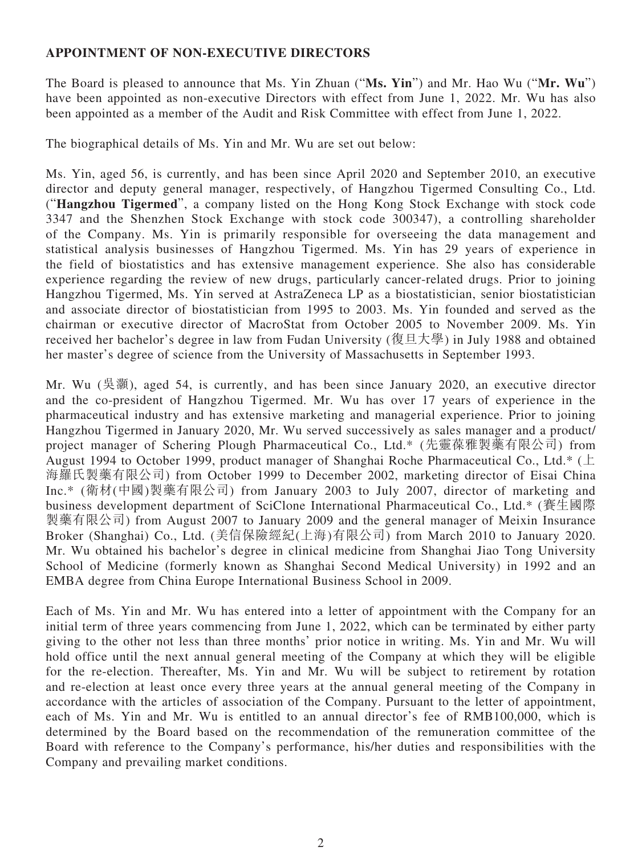#### **APPOINTMENT OF NON-EXECUTIVE DIRECTORS**

The Board is pleased to announce that Ms. Yin Zhuan ("**Ms. Yin**") and Mr. Hao Wu ("**Mr. Wu**") have been appointed as non-executive Directors with effect from June 1, 2022. Mr. Wu has also been appointed as a member of the Audit and Risk Committee with effect from June 1, 2022.

The biographical details of Ms. Yin and Mr. Wu are set out below:

Ms. Yin, aged 56, is currently, and has been since April 2020 and September 2010, an executive director and deputy general manager, respectively, of Hangzhou Tigermed Consulting Co., Ltd. ("**Hangzhou Tigermed**", a company listed on the Hong Kong Stock Exchange with stock code 3347 and the Shenzhen Stock Exchange with stock code 300347), a controlling shareholder of the Company. Ms. Yin is primarily responsible for overseeing the data management and statistical analysis businesses of Hangzhou Tigermed. Ms. Yin has 29 years of experience in the field of biostatistics and has extensive management experience. She also has considerable experience regarding the review of new drugs, particularly cancer-related drugs. Prior to joining Hangzhou Tigermed, Ms. Yin served at AstraZeneca LP as a biostatistician, senior biostatistician and associate director of biostatistician from 1995 to 2003. Ms. Yin founded and served as the chairman or executive director of MacroStat from October 2005 to November 2009. Ms. Yin received her bachelor's degree in law from Fudan University (復旦大學) in July 1988 and obtained her master's degree of science from the University of Massachusetts in September 1993.

Mr. Wu (吳灝), aged 54, is currently, and has been since January 2020, an executive director and the co-president of Hangzhou Tigermed. Mr. Wu has over 17 years of experience in the pharmaceutical industry and has extensive marketing and managerial experience. Prior to joining Hangzhou Tigermed in January 2020, Mr. Wu served successively as sales manager and a product/ project manager of Schering Plough Pharmaceutical Co., Ltd.\* (先靈葆雅製藥有限公司) from August 1994 to October 1999, product manager of Shanghai Roche Pharmaceutical Co., Ltd.\* (上 海羅氏製藥有限公司) from October 1999 to December 2002, marketing director of Eisai China Inc.\* (衛材(中國)製藥有限公司) from January 2003 to July 2007, director of marketing and business development department of SciClone International Pharmaceutical Co., Ltd.\* (賽生國際 製藥有限公司) from August 2007 to January 2009 and the general manager of Meixin Insurance Broker (Shanghai) Co., Ltd. (美信保險經紀(上海)有限公司) from March 2010 to January 2020. Mr. Wu obtained his bachelor's degree in clinical medicine from Shanghai Jiao Tong University School of Medicine (formerly known as Shanghai Second Medical University) in 1992 and an EMBA degree from China Europe International Business School in 2009.

Each of Ms. Yin and Mr. Wu has entered into a letter of appointment with the Company for an initial term of three years commencing from June 1, 2022, which can be terminated by either party giving to the other not less than three months' prior notice in writing. Ms. Yin and Mr. Wu will hold office until the next annual general meeting of the Company at which they will be eligible for the re-election. Thereafter, Ms. Yin and Mr. Wu will be subject to retirement by rotation and re-election at least once every three years at the annual general meeting of the Company in accordance with the articles of association of the Company. Pursuant to the letter of appointment, each of Ms. Yin and Mr. Wu is entitled to an annual director's fee of RMB100,000, which is determined by the Board based on the recommendation of the remuneration committee of the Board with reference to the Company's performance, his/her duties and responsibilities with the Company and prevailing market conditions.